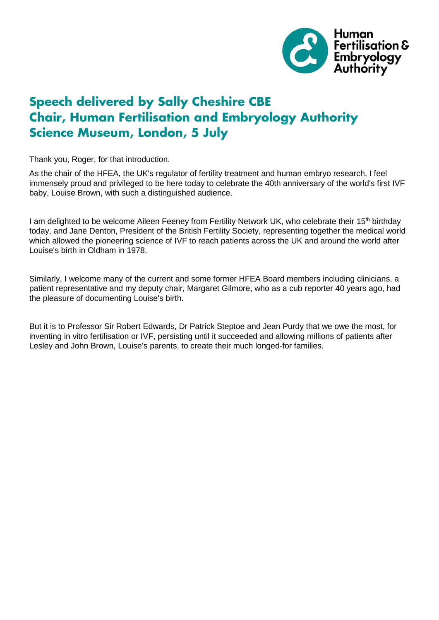

## **Speech delivered by Sally Cheshire CBE Chair, Human Fertilisation and Embryology Authority Science Museum, London, 5 July**

Thank you, Roger, for that introduction.

As the chair of the HFEA, the UK's regulator of fertility treatment and human embryo research, I feel immensely proud and privileged to be here today to celebrate the 40th anniversary of the world's first IVF baby, Louise Brown, with such a distinguished audience.

I am delighted to be welcome Aileen Feeney from Fertility Network UK, who celebrate their 15<sup>th</sup> birthday today, and Jane Denton, President of the British Fertility Society, representing together the medical world which allowed the pioneering science of IVF to reach patients across the UK and around the world after Louise's birth in Oldham in 1978.

Similarly, I welcome many of the current and some former HFEA Board members including clinicians, a patient representative and my deputy chair, Margaret Gilmore, who as a cub reporter 40 years ago, had the pleasure of documenting Louise's birth.

But it is to Professor Sir Robert Edwards, Dr Patrick Steptoe and Jean Purdy that we owe the most, for inventing in vitro fertilisation or IVF, persisting until it succeeded and allowing millions of patients after Lesley and John Brown, Louise's parents, to create their much longed-for families.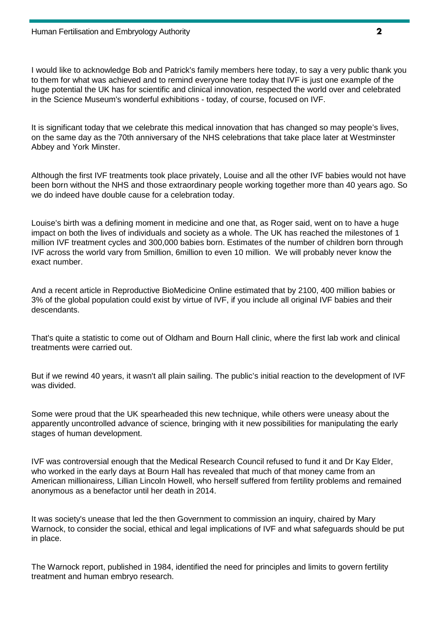I would like to acknowledge Bob and Patrick's family members here today, to say a very public thank you to them for what was achieved and to remind everyone here today that IVF is just one example of the huge potential the UK has for scientific and clinical innovation, respected the world over and celebrated in the Science Museum's wonderful exhibitions - today, of course, focused on IVF.

It is significant today that we celebrate this medical innovation that has changed so may people's lives, on the same day as the 70th anniversary of the NHS celebrations that take place later at Westminster Abbey and York Minster.

Although the first IVF treatments took place privately, Louise and all the other IVF babies would not have been born without the NHS and those extraordinary people working together more than 40 years ago. So we do indeed have double cause for a celebration today.

Louise's birth was a defining moment in medicine and one that, as Roger said, went on to have a huge impact on both the lives of individuals and society as a whole. The UK has reached the milestones of 1 million IVF treatment cycles and 300,000 babies born. Estimates of the number of children born through IVF across the world vary from 5million, 6million to even 10 million. We will probably never know the exact number.

And a recent article in Reproductive BioMedicine Online estimated that by 2100, 400 million babies or 3% of the global population could exist by virtue of IVF, if you include all original IVF babies and their descendants.

That's quite a statistic to come out of Oldham and Bourn Hall clinic, where the first lab work and clinical treatments were carried out.

But if we rewind 40 years, it wasn't all plain sailing. The public's initial reaction to the development of IVF was divided.

Some were proud that the UK spearheaded this new technique, while others were uneasy about the apparently uncontrolled advance of science, bringing with it new possibilities for manipulating the early stages of human development.

IVF was controversial enough that the Medical Research Council refused to fund it and Dr Kay Elder, who worked in the early days at Bourn Hall has revealed that much of that money came from an American millionairess, Lillian Lincoln Howell, who herself suffered from fertility problems and remained anonymous as a benefactor until her death in 2014.

It was society's unease that led the then Government to commission an inquiry, chaired by Mary Warnock, to consider the social, ethical and legal implications of IVF and what safeguards should be put in place.

The Warnock report, published in 1984, identified the need for principles and limits to govern fertility treatment and human embryo research.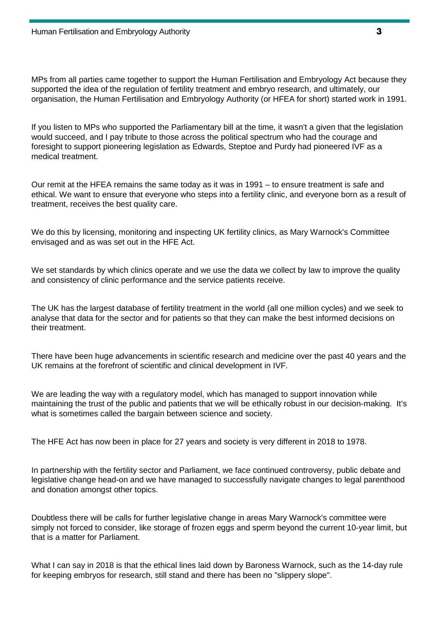MPs from all parties came together to support the Human Fertilisation and Embryology Act because they supported the idea of the regulation of fertility treatment and embryo research, and ultimately, our organisation, the Human Fertilisation and Embryology Authority (or HFEA for short) started work in 1991.

If you listen to MPs who supported the Parliamentary bill at the time, it wasn't a given that the legislation would succeed, and I pay tribute to those across the political spectrum who had the courage and foresight to support pioneering legislation as Edwards, Steptoe and Purdy had pioneered IVF as a medical treatment.

Our remit at the HFEA remains the same today as it was in 1991 – to ensure treatment is safe and ethical. We want to ensure that everyone who steps into a fertility clinic, and everyone born as a result of treatment, receives the best quality care.

We do this by licensing, monitoring and inspecting UK fertility clinics, as Mary Warnock's Committee envisaged and as was set out in the HFE Act.

We set standards by which clinics operate and we use the data we collect by law to improve the quality and consistency of clinic performance and the service patients receive.

The UK has the largest database of fertility treatment in the world (all one million cycles) and we seek to analyse that data for the sector and for patients so that they can make the best informed decisions on their treatment.

There have been huge advancements in scientific research and medicine over the past 40 years and the UK remains at the forefront of scientific and clinical development in IVF.

We are leading the way with a regulatory model, which has managed to support innovation while maintaining the trust of the public and patients that we will be ethically robust in our decision-making. It's what is sometimes called the bargain between science and society.

The HFE Act has now been in place for 27 years and society is very different in 2018 to 1978.

In partnership with the fertility sector and Parliament, we face continued controversy, public debate and legislative change head-on and we have managed to successfully navigate changes to legal parenthood and donation amongst other topics.

Doubtless there will be calls for further legislative change in areas Mary Warnock's committee were simply not forced to consider, like storage of frozen eggs and sperm beyond the current 10-year limit, but that is a matter for Parliament.

What I can say in 2018 is that the ethical lines laid down by Baroness Warnock, such as the 14-day rule for keeping embryos for research, still stand and there has been no "slippery slope".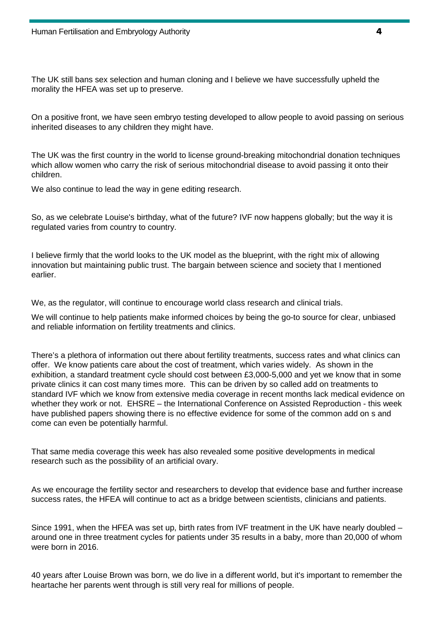The UK still bans sex selection and human cloning and I believe we have successfully upheld the morality the HFEA was set up to preserve.

On a positive front, we have seen embryo testing developed to allow people to avoid passing on serious inherited diseases to any children they might have.

The UK was the first country in the world to license ground-breaking mitochondrial donation techniques which allow women who carry the risk of serious mitochondrial disease to avoid passing it onto their children.

We also continue to lead the way in gene editing research.

So, as we celebrate Louise's birthday, what of the future? IVF now happens globally; but the way it is regulated varies from country to country.

I believe firmly that the world looks to the UK model as the blueprint, with the right mix of allowing innovation but maintaining public trust. The bargain between science and society that I mentioned earlier.

We, as the regulator, will continue to encourage world class research and clinical trials.

We will continue to help patients make informed choices by being the go-to source for clear, unbiased and reliable information on fertility treatments and clinics.

There's a plethora of information out there about fertility treatments, success rates and what clinics can offer. We know patients care about the cost of treatment, which varies widely. As shown in the exhibition, a standard treatment cycle should cost between £3,000-5,000 and yet we know that in some private clinics it can cost many times more. This can be driven by so called add on treatments to standard IVF which we know from extensive media coverage in recent months lack medical evidence on whether they work or not. EHSRE – the International Conference on Assisted Reproduction - this week have published papers showing there is no effective evidence for some of the common add on s and come can even be potentially harmful.

That same media coverage this week has also revealed some positive developments in medical research such as the possibility of an artificial ovary.

As we encourage the fertility sector and researchers to develop that evidence base and further increase success rates, the HFEA will continue to act as a bridge between scientists, clinicians and patients.

Since 1991, when the HFEA was set up, birth rates from IVF treatment in the UK have nearly doubled – around one in three treatment cycles for patients under 35 results in a baby, more than 20,000 of whom were born in 2016.

40 years after Louise Brown was born, we do live in a different world, but it's important to remember the heartache her parents went through is still very real for millions of people.